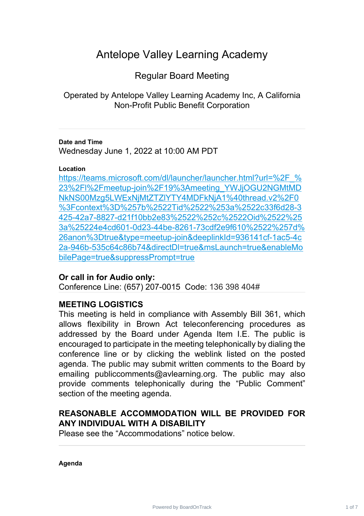# Antelope Valley Learning Academy

Regular Board Meeting

Operated by Antelope Valley Learning Academy Inc, A California Non-Profit Public Benefit Corporation

## **Date and Time**

Wednesday June 1, 2022 at 10:00 AM PDT

## **Location**

https://teams.microsoft.com/dl/launcher/launcher.html?url=%2F % 23%2Fl%2Fmeetup-join%2F19%3Ameeting\_YWJjOGU2NGMtMD [NkNS00Mzg5LWExNjMtZTZlYTY4MDFkNjA1%40thread.v2%2F0](https://teams.microsoft.com/dl/launcher/launcher.html?url=%2F_%23%2Fl%2Fmeetup-join%2F19%3Ameeting_YWJjOGU2NGMtMDNkNS00Mzg5LWExNjMtZTZlYTY4MDFkNjA1%40thread.v2%2F0%3Fcontext%3D%257b%2522Tid%2522%253a%2522c33f6d28-3425-42a7-8827-d21f10bb2e83%2522%252c%2522Oid%2522%253a%25224e4cd601-0d23-44be-8261-73cdf2e9f610%2522%257d%26anon%3Dtrue&type=meetup-join&deeplinkId=936141cf-1ac5-4c2a-946b-535c64c86b74&directDl=true&msLaunch=true&enableMobilePage=true&suppressPrompt=true) %3Fcontext%3D%257b%2522Tid%2522%253a%2522c33f6d28-3 [425-42a7-8827-d21f10bb2e83%2522%252c%2522Oid%2522%25](https://teams.microsoft.com/dl/launcher/launcher.html?url=%2F_%23%2Fl%2Fmeetup-join%2F19%3Ameeting_YWJjOGU2NGMtMDNkNS00Mzg5LWExNjMtZTZlYTY4MDFkNjA1%40thread.v2%2F0%3Fcontext%3D%257b%2522Tid%2522%253a%2522c33f6d28-3425-42a7-8827-d21f10bb2e83%2522%252c%2522Oid%2522%253a%25224e4cd601-0d23-44be-8261-73cdf2e9f610%2522%257d%26anon%3Dtrue&type=meetup-join&deeplinkId=936141cf-1ac5-4c2a-946b-535c64c86b74&directDl=true&msLaunch=true&enableMobilePage=true&suppressPrompt=true) 3a%25224e4cd601-0d23-44be-8261-73cdf2e9f610%2522%257d% [26anon%3Dtrue&type=meetup-join&deeplinkId=936141cf-1ac5-4c](https://teams.microsoft.com/dl/launcher/launcher.html?url=%2F_%23%2Fl%2Fmeetup-join%2F19%3Ameeting_YWJjOGU2NGMtMDNkNS00Mzg5LWExNjMtZTZlYTY4MDFkNjA1%40thread.v2%2F0%3Fcontext%3D%257b%2522Tid%2522%253a%2522c33f6d28-3425-42a7-8827-d21f10bb2e83%2522%252c%2522Oid%2522%253a%25224e4cd601-0d23-44be-8261-73cdf2e9f610%2522%257d%26anon%3Dtrue&type=meetup-join&deeplinkId=936141cf-1ac5-4c2a-946b-535c64c86b74&directDl=true&msLaunch=true&enableMobilePage=true&suppressPrompt=true) 2a-946b-535c64c86b74&directDl=true&msLaunch=true&enableMo [bilePage=true&suppressPrompt=true](https://teams.microsoft.com/dl/launcher/launcher.html?url=%2F_%23%2Fl%2Fmeetup-join%2F19%3Ameeting_YWJjOGU2NGMtMDNkNS00Mzg5LWExNjMtZTZlYTY4MDFkNjA1%40thread.v2%2F0%3Fcontext%3D%257b%2522Tid%2522%253a%2522c33f6d28-3425-42a7-8827-d21f10bb2e83%2522%252c%2522Oid%2522%253a%25224e4cd601-0d23-44be-8261-73cdf2e9f610%2522%257d%26anon%3Dtrue&type=meetup-join&deeplinkId=936141cf-1ac5-4c2a-946b-535c64c86b74&directDl=true&msLaunch=true&enableMobilePage=true&suppressPrompt=true)

# **Or call in for Audio only:**

Conference Line: (657) 207-0015 Code: 136 398 404#

# **MEETING LOGISTICS**

This meeting is held in compliance with Assembly Bill 361, which allows flexibility in Brown Act teleconferencing procedures as addressed by the Board under Agenda Item I.E. The public is encouraged to participate in the meeting telephonically by dialing the conference line or by clicking the weblink listed on the posted agenda. The public may submit written comments to the Board by emailing publiccomments@avlearning.org. The public may also provide comments telephonically during the "Public Comment" section of the meeting agenda.

# **REASONABLE ACCOMMODATION WILL BE PROVIDED FOR ANY INDIVIDUAL WITH A DISABILITY**

Please see the "Accommodations" notice below.

**Agenda**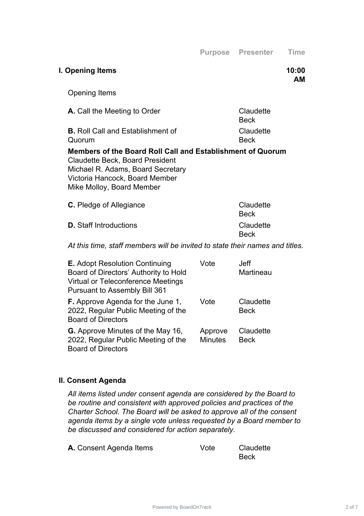| I. Opening Items                                                                                                                                                                                         |      | 10:00<br><b>AM</b>       |
|----------------------------------------------------------------------------------------------------------------------------------------------------------------------------------------------------------|------|--------------------------|
| <b>Opening Items</b>                                                                                                                                                                                     |      |                          |
| A. Call the Meeting to Order                                                                                                                                                                             |      | Claudette<br><b>Beck</b> |
| <b>B.</b> Roll Call and Establishment of<br>Quorum                                                                                                                                                       |      | Claudette<br><b>Beck</b> |
| Members of the Board Roll Call and Establishment of Quorum<br><b>Claudette Beck, Board President</b><br>Michael R. Adams, Board Secretary<br>Victoria Hancock, Board Member<br>Mike Molloy, Board Member |      |                          |
| <b>C.</b> Pledge of Allegiance                                                                                                                                                                           |      | Claudette<br><b>Beck</b> |
| <b>D.</b> Staff Introductions                                                                                                                                                                            |      | Claudette<br><b>Beck</b> |
| At this time, staff members will be invited to state their names and titles.                                                                                                                             |      |                          |
| <b>E.</b> Adopt Resolution Continuing<br>Board of Directors' Authority to Hold<br>Virtual or Teleconference Meetings<br><b>Pursuant to Assembly Bill 361</b>                                             | Vote | <b>Jeff</b><br>Martineau |

| <b>F.</b> Approve Agenda for the June 1, | Vote           | Claudette   |
|------------------------------------------|----------------|-------------|
| 2022, Regular Public Meeting of the      |                | <b>Beck</b> |
| <b>Board of Directors</b>                |                |             |
| <b>G.</b> Approve Minutes of the May 16, | Approve        | Claudette   |
| 2022, Regular Public Meeting of the      | <b>Minutes</b> | <b>Beck</b> |
| <b>Board of Directors</b>                |                |             |

## **II. Consent Agenda**

*All items listed under consent agenda are considered by the Board to be routine and consistent with approved policies and practices of the Charter School. The Board will be asked to approve all of the consent agenda items by a single vote unless requested by a Board member to be discussed and considered for action separately.*

| A. Consent Agenda Items | Vote | Claudette |
|-------------------------|------|-----------|
|                         |      | Beck      |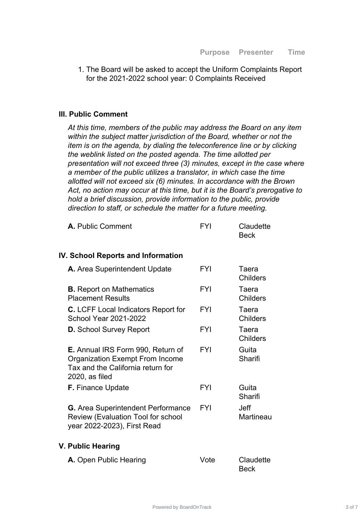1. The Board will be asked to accept the Uniform Complaints Report for the 2021-2022 school year: 0 Complaints Received

#### **III. Public Comment**

*At this time, members of the public may address the Board on any item within the subject matter jurisdiction of the Board, whether or not the item is on the agenda, by dialing the teleconference line or by clicking the weblink listed on the posted agenda. The time allotted per presentation will not exceed three (3) minutes, except in the case where a member of the public utilizes a translator, in which case the time allotted will not exceed six (6) minutes. In accordance with the Brown Act, no action may occur at this time, but it is the Board's prerogative to hold a brief discussion, provide information to the public, provide direction to staff, or schedule the matter for a future meeting.*

| A. Public Comment | FYI | Claudette   |
|-------------------|-----|-------------|
|                   |     | <b>Beck</b> |

#### **IV. School Reports and Information**

| A. Area Superintendent Update                                                                                                             | FYI        | Taera<br><b>Childers</b> |
|-------------------------------------------------------------------------------------------------------------------------------------------|------------|--------------------------|
| <b>B.</b> Report on Mathematics<br><b>Placement Results</b>                                                                               | <b>FYI</b> | Taera<br><b>Childers</b> |
| <b>C.</b> LCFF Local Indicators Report for<br><b>School Year 2021-2022</b>                                                                | <b>FYI</b> | Taera<br><b>Childers</b> |
| <b>D.</b> School Survey Report                                                                                                            | <b>FYI</b> | Taera<br><b>Childers</b> |
| <b>E.</b> Annual IRS Form 990, Return of<br><b>Organization Exempt From Income</b><br>Tax and the California return for<br>2020, as filed | <b>FYI</b> | Guita<br>Sharifi         |
| <b>F.</b> Finance Update                                                                                                                  | <b>FYI</b> | Guita<br>Sharifi         |
| <b>G.</b> Area Superintendent Performance<br>Review (Evaluation Tool for school<br>year 2022-2023), First Read                            | FYI        | Jeff<br>Martineau        |

#### **V. Public Hearing**

| A. Open Public Hearing | Vote | Claudette   |
|------------------------|------|-------------|
|                        |      | <b>Beck</b> |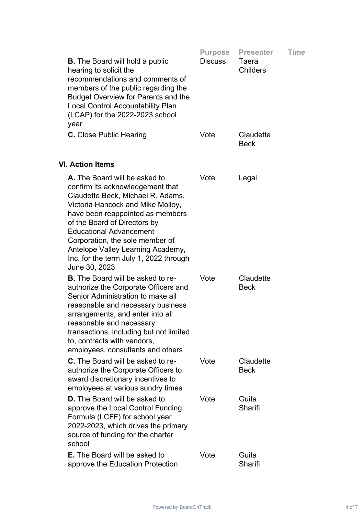|                                                                                                                                                                                                                                                                                                                                                                                      | <b>Purpose</b> | <b>Presenter</b>         | <b>Time</b> |
|--------------------------------------------------------------------------------------------------------------------------------------------------------------------------------------------------------------------------------------------------------------------------------------------------------------------------------------------------------------------------------------|----------------|--------------------------|-------------|
| <b>B.</b> The Board will hold a public<br>hearing to solicit the<br>recommendations and comments of<br>members of the public regarding the<br><b>Budget Overview for Parents and the</b><br><b>Local Control Accountability Plan</b><br>(LCAP) for the 2022-2023 school<br>year                                                                                                      | <b>Discuss</b> | Taera<br><b>Childers</b> |             |
| <b>C.</b> Close Public Hearing                                                                                                                                                                                                                                                                                                                                                       | Vote           | Claudette<br><b>Beck</b> |             |
| <b>VI. Action Items</b>                                                                                                                                                                                                                                                                                                                                                              |                |                          |             |
| A. The Board will be asked to<br>confirm its acknowledgement that<br>Claudette Beck, Michael R. Adams,<br>Victoria Hancock and Mike Molloy,<br>have been reappointed as members<br>of the Board of Directors by<br><b>Educational Advancement</b><br>Corporation, the sole member of<br>Antelope Valley Learning Academy,<br>Inc. for the term July 1, 2022 through<br>June 30, 2023 | Vote           | Legal                    |             |
| <b>B.</b> The Board will be asked to re-<br>authorize the Corporate Officers and<br>Senior Administration to make all<br>reasonable and necessary business<br>arrangements, and enter into all<br>reasonable and necessary<br>transactions, including but not limited<br>to, contracts with vendors,<br>employees, consultants and others                                            | Vote           | Claudette<br><b>Beck</b> |             |
| <b>C.</b> The Board will be asked to re-<br>authorize the Corporate Officers to<br>award discretionary incentives to<br>employees at various sundry times                                                                                                                                                                                                                            | Vote           | Claudette<br><b>Beck</b> |             |
| <b>D.</b> The Board will be asked to<br>approve the Local Control Funding<br>Formula (LCFF) for school year<br>2022-2023, which drives the primary<br>source of funding for the charter<br>school                                                                                                                                                                                    | Vote           | Guita<br>Sharifi         |             |
| <b>E.</b> The Board will be asked to<br>approve the Education Protection                                                                                                                                                                                                                                                                                                             | Vote           | Guita<br>Sharifi         |             |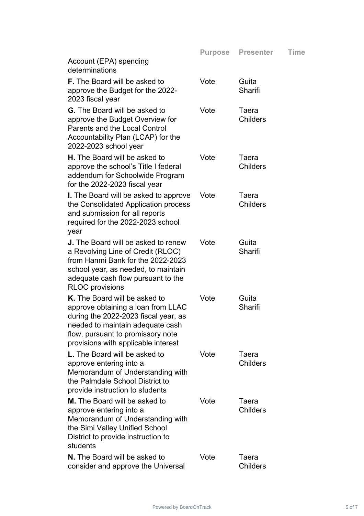|                                                                                                                                                                                                                             | <b>Purpose</b> | <b>Presenter</b>         | <b>Time</b> |
|-----------------------------------------------------------------------------------------------------------------------------------------------------------------------------------------------------------------------------|----------------|--------------------------|-------------|
| Account (EPA) spending<br>determinations                                                                                                                                                                                    |                |                          |             |
| <b>F.</b> The Board will be asked to<br>approve the Budget for the 2022-<br>2023 fiscal year                                                                                                                                | Vote           | Guita<br>Sharifi         |             |
| <b>G.</b> The Board will be asked to<br>approve the Budget Overview for<br>Parents and the Local Control<br>Accountability Plan (LCAP) for the<br>2022-2023 school year                                                     | Vote           | Taera<br><b>Childers</b> |             |
| <b>H.</b> The Board will be asked to<br>approve the school's Title I federal<br>addendum for Schoolwide Program<br>for the 2022-2023 fiscal year                                                                            | Vote           | Taera<br><b>Childers</b> |             |
| <b>I.</b> The Board will be asked to approve<br>the Consolidated Application process<br>and submission for all reports<br>required for the 2022-2023 school<br>year                                                         | Vote           | Taera<br><b>Childers</b> |             |
| <b>J.</b> The Board will be asked to renew<br>a Revolving Line of Credit (RLOC)<br>from Hanmi Bank for the 2022-2023<br>school year, as needed, to maintain<br>adequate cash flow pursuant to the<br><b>RLOC</b> provisions | Vote           | Guita<br>Sharifi         |             |
| K. The Board will be asked to<br>approve obtaining a loan from LLAC<br>during the 2022-2023 fiscal year, as<br>needed to maintain adequate cash<br>flow, pursuant to promissory note<br>provisions with applicable interest | Vote           | Guita<br>Sharifi         |             |
| <b>L.</b> The Board will be asked to<br>approve entering into a<br>Memorandum of Understanding with<br>the Palmdale School District to<br>provide instruction to students                                                   | Vote           | Taera<br><b>Childers</b> |             |
| <b>M.</b> The Board will be asked to<br>approve entering into a<br>Memorandum of Understanding with<br>the Simi Valley Unified School<br>District to provide instruction to<br>students                                     | Vote           | Taera<br><b>Childers</b> |             |
| N. The Board will be asked to<br>consider and approve the Universal                                                                                                                                                         | Vote           | Taera<br><b>Childers</b> |             |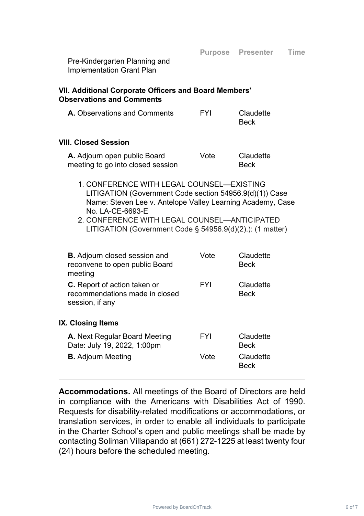Pre-Kindergarten Planning and Implementation Grant Plan

## **VII. Additional Corporate Officers and Board Members' Observations and Comments**

| <b>A.</b> Observations and Comments | <b>FYI</b> | Claudette   |
|-------------------------------------|------------|-------------|
|                                     |            | <b>Beck</b> |

## **VIII. Closed Session**

| A. Adjourn open public Board      | Vote | Claudette   |
|-----------------------------------|------|-------------|
| meeting to go into closed session |      | <b>Beck</b> |

- 1. CONFERENCE WITH LEGAL COUNSEL—EXISTING LITIGATION (Government Code section 54956.9(d)(1)) Case Name: Steven Lee v. Antelope Valley Learning Academy, Case No. LA-CE-6693-E
- 2. CONFERENCE WITH LEGAL COUNSEL—ANTICIPATED LITIGATION (Government Code § 54956.9(d)(2).): (1 matter)

| <b>B.</b> Adjourn closed session and<br>reconvene to open public Board<br>meeting        | Vote       | Claudette<br><b>Beck</b> |
|------------------------------------------------------------------------------------------|------------|--------------------------|
| <b>C.</b> Report of action taken or<br>recommendations made in closed<br>session, if any | <b>FYI</b> | Claudette<br><b>Beck</b> |
| IX. Closing Items                                                                        |            |                          |
| <b>A.</b> Next Regular Board Meeting<br>Date: July 19, 2022, 1:00pm                      | <b>FYI</b> | Claudette<br><b>Beck</b> |
| <b>B.</b> Adjourn Meeting                                                                | Vote       | Claudette<br>Beck        |

**Accommodations.** All meetings of the Board of Directors are held in compliance with the Americans with Disabilities Act of 1990. Requests for disability-related modifications or accommodations, or translation services, in order to enable all individuals to participate in the Charter School's open and public meetings shall be made by contacting Soliman Villapando at (661) 272-1225 at least twenty four (24) hours before the scheduled meeting.